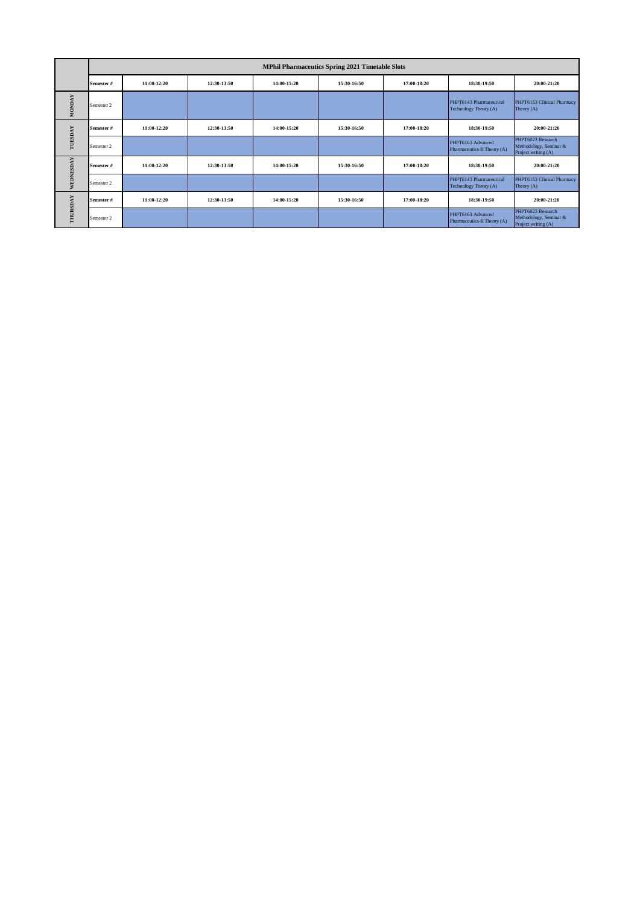|               | <b>MPhil Pharmaceutics Spring 2021 Timetable Slots</b> |             |             |             |             |             |                                                  |                                                                    |  |  |
|---------------|--------------------------------------------------------|-------------|-------------|-------------|-------------|-------------|--------------------------------------------------|--------------------------------------------------------------------|--|--|
|               | Semester #                                             | 11:00-12:20 | 12:30-13:50 | 14:00-15:20 | 15:30-16:50 | 17:00-18:20 | 18:30-19:50                                      | 20:00-21:20                                                        |  |  |
| <b>MONDAY</b> | Semester 2                                             |             |             |             |             |             | PHPT6143 Pharmaceutical<br>Technology Theory (A) | PHPT6153 Clinical Pharmacy<br>Theory $(A)$                         |  |  |
| TUESDAY       | Semester #                                             | 11:00-12:20 | 12:30-13:50 | 14:00-15:20 | 15:30-16:50 | 17:00-18:20 | 18:30-19:50                                      | 20:00-21:20                                                        |  |  |
|               | Semester 2                                             |             |             |             |             |             | PHPT6163 Advanced<br>Pharmaceutics-II Theory (A) | PHPT6023 Research<br>Methodology, Seminar &<br>Project writing (A) |  |  |
| WEDNESDAY     | Semester #                                             | 11:00-12:20 | 12:30-13:50 | 14:00-15:20 | 15:30-16:50 | 17:00-18:20 | 18:30-19:50                                      | 20:00-21:20                                                        |  |  |
|               | Semester 2                                             |             |             |             |             |             | PHPT6143 Pharmaceutical<br>Technology Theory (A) | PHPT6153 Clinical Pharmacy<br>Theory $(A)$                         |  |  |
| THURSDAY      | Semester #                                             | 11:00-12:20 | 12:30-13:50 | 14:00-15:20 | 15:30-16:50 | 17:00-18:20 | 18:30-19:50                                      | 20:00-21:20                                                        |  |  |
|               | Semester 2                                             |             |             |             |             |             | PHPT6163 Advanced<br>Pharmaceutics-II Theory (A) | PHPT6023 Research<br>Methodology, Seminar &<br>Project writing (A) |  |  |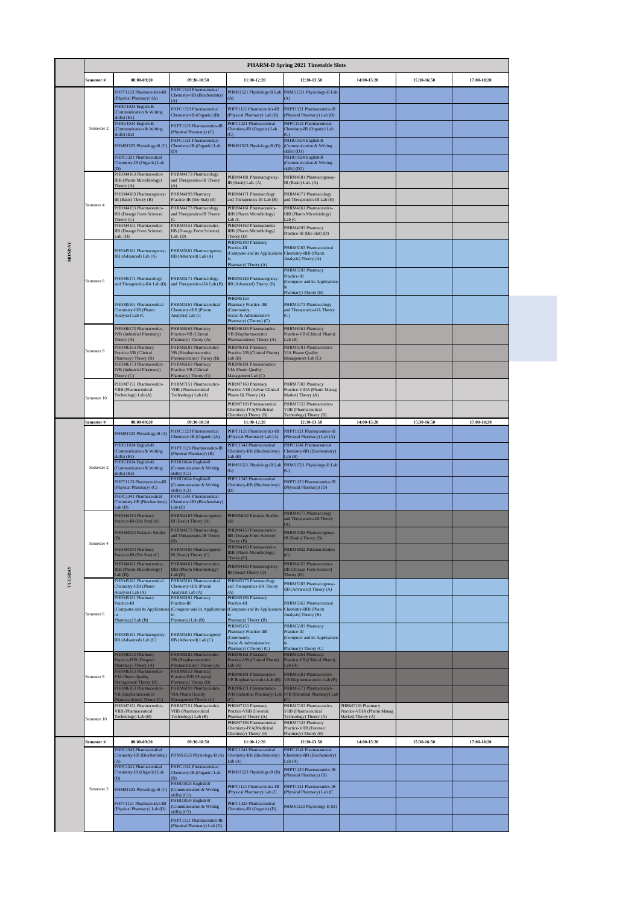|               | <b>PHARM-D Spring 2021 Timetable Slots</b> |                                                                             |                                                                              |                                                                             |                                                                           |                                                                        |             |             |
|---------------|--------------------------------------------|-----------------------------------------------------------------------------|------------------------------------------------------------------------------|-----------------------------------------------------------------------------|---------------------------------------------------------------------------|------------------------------------------------------------------------|-------------|-------------|
|               | Semester #                                 | 08:00-09:20                                                                 | 09:30-10:50                                                                  | 11:00-12:20                                                                 | 12:30-13:50                                                               | 14:00-15:20                                                            | 15:30-16:50 | 17:00-18:20 |
|               |                                            | PHPT1123 Pharmaceutics-IB<br>(Physical Pharmacy) (A)                        | PHPC1343 Pharmaceutical<br>Chemistry-IIB (Biochemistry)                      | (A)                                                                         | PHMS1521 Physiology-B Lab PHMS1521 Physiology-B Lab<br>(A)                |                                                                        |             |             |
|               |                                            | PHHU1024 English-B<br><b>Communication &amp; Writing</b>                    | A)<br>PHPC1323 Pharmaceutical                                                | PHPT1121 Pharmaceutics-IB                                                   | PHPT1121 Pharmaceutics-IB                                                 |                                                                        |             |             |
|               |                                            | kills) (B1)<br>PHHU1024 English-B                                           | Chemistry-IB (Organic) (B)<br>PHPT1123 Pharmaceutics-IB                      | Physical Pharmacy) Lab (B)<br>PHPC1321 Pharmaceutical                       | (Physical Pharmacy) Lab (B)<br>PHPC1321 Pharmaceutical                    |                                                                        |             |             |
|               | Semester 2                                 | (Communication & Writing<br>kills) (B2)                                     | (Physical Pharmacy) (C)<br>PHPC1321 Pharmaceutical                           | Chemistry-IB (Organic) Lab                                                  | Chemistry-IB (Organic) Lab<br>PHHU1024 English-B                          |                                                                        |             |             |
|               |                                            | PHMS1523 Physiology-B (C)                                                   | Chemistry-IB (Organic) Lab<br>(D)                                            | PHMS1523 Physiology-B (D)                                                   | (Communication & Writing<br>skills(O1)                                    |                                                                        |             |             |
|               |                                            | PHPC1321 Pharmaceutical<br>Chemistry-IB (Organic) Lab<br>D)                 |                                                                              |                                                                             | PHHU1024 English-B<br>(Communication & Writing)                           |                                                                        |             |             |
|               |                                            | PHRM4163 Pharmaceutics-<br>IIIB (Pharm Microbiology)                        | PHRM4173 Pharmacology<br>and Therapeutics-IB Theory                          | PHRM4181 Pharmacognosy-                                                     | skills) (D2)<br>PHRM4181 Pharmacognosy-                                   |                                                                        |             |             |
|               |                                            | Theory (A)<br>PHRM4183 Pharmacognosy                                        | PHRM4193 Pharmacy                                                            | IB (Basic) Lab. (A)<br>PHRM4171 Pharmacology                                | IB (Basic) Lab. (A)<br>PHRM4171 Pharmacology                              |                                                                        |             |             |
|               | Semester 4                                 | IB (Basic) Theory (B)<br>PHRM4153 Pharmaceutics-                            | Practice-IB (Bio Stat) (B)<br>PHRM4173 Pharmacology                          | and Therapeutics-IB Lab (B)<br>PHRM4161 Pharmaceutics-                      | and Therapeutics-IB Lab (B)<br>PHRM4161 Pharmaceutics-                    |                                                                        |             |             |
|               |                                            | <b>IIB</b> (Dosage Form Science)<br>Theory (C)                              | and Therapeutics-IB Theory                                                   | <b>IIIB</b> (Pharm Microbiology)<br>ab(C)                                   | IIIB (Pharm Microbiology)<br>Lab(C)                                       |                                                                        |             |             |
|               |                                            | PHRM4151 Pharmaceutics-<br>IIB (Dosage Form Science)<br>$ab.$ (D)           | PHRM4151 Pharmaceutics-<br>IIB (Dosage Form Science)<br>Lab. $(D)$           | PHRM4163 Pharmaceutics-<br>IIIB (Pharm Microbiology)<br>Theory (D)          | PHRM4193 Pharmacy<br>Practice-IB (Bio Stat) (D)                           |                                                                        |             |             |
|               |                                            | PHRM5181 Pharmacognosy-                                                     | PHRM5181 Pharmacognosy-                                                      | PHRM5193 Pharmacy<br>Practice-III                                           | PHRM5163 Pharmaceutical                                                   |                                                                        |             |             |
| <b>MONDAY</b> |                                            | IIB (Advanced) Lab (A)                                                      | IIB (Advanced) Lab (A)                                                       | (Computer and its Application<br>Pharmacy) Theory (A)                       | Chemistry-IIIB (Pharm<br>Analysis) Theory (A)                             |                                                                        |             |             |
|               |                                            |                                                                             |                                                                              |                                                                             | PHRM5193 Pharmacy<br>Practice-III                                         |                                                                        |             |             |
|               | Semester 6                                 | PHRM5171 Pharmacology<br>and Therapeutics-IIA Lab (B)                       | PHRM5171 Pharmacology<br>and Therapeutics-IIA Lab (B)                        | PHRM5183 Pharmacognosy-<br>IIB (Advanced) Theory (B)                        | (Computer and its Applications                                            |                                                                        |             |             |
|               |                                            | PHRM5161 Pharmaceutical                                                     | PHRM5161 Pharmaceutical                                                      | <b>PHRM5153</b><br>Pharmacy Practice-IIB                                    | Pharmacy) Theory (B)<br>PHRM5173 Pharmacology                             |                                                                        |             |             |
|               |                                            | Chemistry-IIIB (Pharm<br>Analysis) Lab (C                                   | Chemistry-IIIB (Pharm<br>Analysis) Lab (C                                    | (Community,<br>Social & Administrative                                      | and Therapeutics-IIA Theory<br>(C)                                        |                                                                        |             |             |
|               |                                            | PHRM6173 Pharmaceutics-                                                     | PHRM6163 Pharmacy                                                            | Pharmacy) (Theory) (C)<br>PHRM6183 Pharmaceutics-                           | PHRM6161 Pharmacy                                                         |                                                                        |             |             |
|               |                                            | IVB (Industrial Pharmacy)<br>Theory (A)                                     | Practice-VB (Clinical<br>Pharmacy) Theory (A)                                | <b>VB</b> (Biopharmaceutics<br>Pharmacokines) Theory (A)                    | Practice-VB (Clinical Pharm)<br>Lab(B)                                    |                                                                        |             |             |
|               | Semester 8                                 | PHRM6163 Pharmacy<br>Practice-VB (Clinical<br>Pharmacy) Theory (B)          | PHRM6183 Pharmaceutics-<br>VB (Biopharmaceutics<br>Pharmacokines) Theory (B) | PHRM6161 Pharmacy<br>Practice-VB (Clinical Pharm)<br>Lab(B)                 | PHRM6191 Pharmaceutics-<br>VIA Pharm Quality<br>Management Lab (C)        |                                                                        |             |             |
|               |                                            | PHRM6173 Pharmaceutics-<br>IVB (Industrial Pharmacy)                        | PHRM6163 Pharmacy<br>Practice-VB (Clinical                                   | PHRM6191 Pharmaceutics-<br>VIA Pharm Quality                                |                                                                           |                                                                        |             |             |
|               |                                            | Theory (C)<br>PHRM7151 Pharmaceutics-                                       | Pharmacy) Theory (C)<br>PHRM7151 Pharmaceutics-                              | Management Lab (C)<br>PHRM7163 Pharmacy                                     | PHRM7183 Pharmacy                                                         |                                                                        |             |             |
|               | Semester 10                                | <b>VIIB</b> (Pharmaceutical<br>Technology) Lab (A)                          | VIIB (Pharmaceutical<br>Technology) Lab (A)                                  | Practice-VIB (Advan Clinical<br>Pharm II) Theory (A)                        | Practice-VIIIA (Pharm Manag<br>Market) Theory (A)                         |                                                                        |             |             |
|               |                                            |                                                                             |                                                                              | PHRM7193 Pharmaceutical<br>Chemistry-IVA(Medicinal<br>Chemistry) Theory (B) | PHRM7153 Pharmaceutics-<br>VIIB (Pharmaceutical<br>Technology) Theory (B) |                                                                        |             |             |
|               | Semester #                                 | 08:00-09:20                                                                 | 09:30-10:50                                                                  | 11:00-12:20                                                                 | 12:30-13:50                                                               | 14:00-15:20                                                            | 15:30-16:50 | 17:00-18:20 |
|               | Semester 2                                 | PHMS1523 Physiology-B (A)                                                   | PHPC1323 Pharmaceutical<br>Chemistry-IB (Organic) (A)                        | PHPT1121 Pharmaceutics-IB<br>(Physical Pharmacy) Lab (A)                    | PHPT1121 Pharmaceutics-IB<br>(Physical Pharmacy) Lab (A)                  |                                                                        |             |             |
|               |                                            | PHHU1024 English-B<br>(Communication & Writing<br>kills) (B1)               | PHPT1123 Pharmaceutics-IB<br>(Physical Pharmacy) (B)                         | PHPC1341 Pharmaceutical<br>Chemistry-IIB (Biochemistry)<br>$ab$ $(B)$       | PHPC1341 Pharmaceutical<br>Chemistry-IIB (Biochemistry)<br>ab(B)          |                                                                        |             |             |
|               |                                            | PHHU1024 English-B                                                          | PHHU1024 English-B                                                           |                                                                             |                                                                           |                                                                        |             |             |
|               |                                            | (Communication & Writing                                                    | (Communication & Writing                                                     | PHMS1521 Physiology-B Lab                                                   | PHMS1521 Physiology-B Lab                                                 |                                                                        |             |             |
|               |                                            | kills) (B2)<br>PHPT1123 Pharmaceutics-IB                                    | skills) (C1)<br>PHHU1024 English-B                                           | (C)<br>PHPC1343 Pharmaceutical                                              | (C)<br>PHPT1123 Pharmaceutics-IB                                          |                                                                        |             |             |
|               |                                            | (Physical Pharmacy) (C)<br>PHPC1341 Pharmaceutical                          | (Communication & Writing<br>drills) (C2)                                     | Chemistry-IIB (Biochemistry)<br>(D)                                         | (Physical Pharmacy) (D)                                                   |                                                                        |             |             |
|               |                                            | Chemistry-IIB (Biochemistry)<br>ab(D)                                       | PHPC1341 Pharmaceutical<br>Chemistry-IIB (Biochemistry)<br>Lab(D)            |                                                                             |                                                                           |                                                                        |             |             |
|               |                                            | PHRM4193 Pharmacy<br>Practice-IB (Bio Stat) (A)                             | PHRM4183 Pharmacognosy-<br>(B (Basic) Theory (A)                             | PHRM4032 Pakistan Studies                                                   | PHRM4173 Pharmacology<br>and Therapeutics-IB Theory                       |                                                                        |             |             |
|               |                                            | PHRM4032 Pakistan Studies                                                   | PHRM4173 Pharmacology<br>and Therapeutics-IB Theory                          | PHRM4153 Pharmaceutics-<br><b>IIB</b> (Dosage Form Science)                 | PHRM4183 Pharmacognosy-                                                   |                                                                        |             |             |
|               | Semester 4                                 | (B)<br>PHRM4193 Pharmacy                                                    | PHRM4183 Pharmacognosy-                                                      | Theory (B)<br>PHRM4163 Pharmaceutics-                                       | IB (Basic) Theory (B)<br>PHRM4032 Pakistan Studies                        |                                                                        |             |             |
|               |                                            | Practice-IB (Bio Stat) (C)<br>PHRM4161 Pharmaceutics-                       | IB (Basic) Theory (C)<br>PHRM4161 Pharmaceutics-                             | <b>IIIB</b> (Pharm Microbiology)<br>Theory $(C)$                            | (C)<br>PHRM4153 Pharmaceutics-                                            |                                                                        |             |             |
|               |                                            | IIIB (Pharm Microbiology)<br>ab(D)                                          | <b>IIIB</b> (Pharm Microbiology)<br>ab(D)                                    | PHRM4183 Pharmacognosy-<br>IB (Basic) Theory (D)                            | <b>IIB</b> (Dosage Form Science)<br>Theory $(D)$                          |                                                                        |             |             |
| TUESDAY       |                                            | PHRM5161 Pharmaceutical<br>Chemistry-IIIB (Pharm<br>Analysis) Lab (A)       | PHRM5161 Pharmaceutical<br>Chemistry-IIIB (Pharm                             | PHRM5173 Pharmacology<br>and Therapeutics-IIA Theory                        | PHRM5183 Pharmacognosy-<br>IIB (Advanced) Theory (A)                      |                                                                        |             |             |
|               |                                            | PHRM5191 Pharmacy<br>Practice-III                                           | Analysis) Lab (A)<br>PHRM5191 Pharmacy<br>Practice-III                       | PHRM5193 Pharmacy<br>Practice-III                                           | PHRM5163 Pharmaceutical                                                   |                                                                        |             |             |
|               | Semester 6                                 | (Computer and its Application                                               | (Computer and its Application                                                | (Computer and its Application                                               | Chemistry-IIIB (Pharm<br>Analysis) Theory (B)                             |                                                                        |             |             |
|               |                                            | Pharmacy) Lab (B)                                                           | Pharmacy) Lab (B)                                                            | Pharmacy) Theory (B)<br>PHRM5153<br>Pharmacy Practice-IIB                   | PHRM5193 Pharmacy<br>Practice-III                                         |                                                                        |             |             |
|               |                                            | PHRM5181 Pharmacognosy-<br>IIB (Advanced) Lab (C)                           | PHRM5181 Pharmacognosy-<br>IIB (Advanced) Lab (C)                            | (Community,<br>Social & Administrative                                      | (Computer and its Application                                             |                                                                        |             |             |
|               |                                            | PHRM6153 Pharmacy<br>Practice-IVB (Hospital                                 | PHRM6183 Pharmaceutics-<br><b>VB</b> (Biopharmaceutics                       | Pharmacy) (Theory) (C)<br>PHRM6161 Pharmacy<br>Practice-VB (Clinical Pharm) | Pharmacy) Theory (C)<br>PHRM6161 Pharmacy<br>Practice-VB (Clinical Pharm) |                                                                        |             |             |
|               |                                            | harmacy) Theory (A)<br>PHRM6193 Pharmaceutics-                              | Pharmacokines) Theory (A)<br>PHRM6153 Pharmacy                               | ab(A)<br>PHRM6181 Pharmaceutics-                                            | ab(A)<br>PHRM6181 Pharmaceutics-                                          |                                                                        |             |             |
|               | Semester 8                                 | <b>VIA Pharm Quality</b><br>anagement Theory (B)<br>PHRM6183 Pharmaceutics- | Practice-IVB (Hospital<br>harmacy) Theory (B)<br>PHRM6193 Pharmaceutics      | /B Biopharmaceutics Lab (B)<br>PHRM6171 Pharmaceutics-                      | VB Biopharmaceutics Lab (B)<br>PHRM6171 Pharmaceutics-                    |                                                                        |             |             |
|               |                                            | <b>VB</b> (Biopharmaceutics<br>harmacokines) Theory (C)                     | VIA Pharm Quality<br>Management Theory (C)                                   | IVB (Industrial Pharmacy) Lab                                               | IVB (Industrial Pharmacy) Lab<br>C)                                       |                                                                        |             |             |
|               |                                            | PHRM7151 Pharmaceutics-<br>VIIB (Pharmaceutical<br>Technology) Lab (B)      | PHRM7151 Pharmaceutics-<br>VIIB (Pharmaceutical<br>Technology) Lab (B)       | PHRM7123 Pharmacy<br>Practice-VIIB (Forensic<br>Pharmacy) Theory (A)        | PHRM7153 Pharmaceutics-<br>VIIB (Pharmaceutical<br>Technology) Theory (A) | PHRM7183 Pharmacy<br>Practice-VIIIA (Pharm Manag<br>Market) Theory (A) |             |             |
|               | Semester 10                                |                                                                             |                                                                              | PHRM7193 Pharmaceutical<br>Chemistry-IVA(Medicinal                          | PHRM7123 Pharmacy<br>Practice-VIIB (Forensic                              |                                                                        |             |             |
|               | Semester #                                 | 08:00-09:20                                                                 | 09:30-10:50                                                                  | Chemistry) Theory (B)<br>11:00-12:20                                        | Pharmacy) Theory (B)<br>12:30-13:50                                       | 14:00-15:20                                                            | 15:30-16:50 | 17:00-18:20 |
|               |                                            | PHPC1343 Pharmaceutical<br>Chemistry-IIB (Biochemistry)                     | PHMS1523 Physiology-B (A)                                                    | PHPC1341 Pharmaceutical<br>Chemistry-IIB (Biochemistry)                     | PHPC1341 Pharmaceutical<br>Chemistry-IIB (Biochemistry)                   |                                                                        |             |             |
|               |                                            | PHPC1321 Pharmaceutical<br>Chemistry-IB (Organic) Lab                       | PHPC1321 Pharmaceutical<br>Chemistry-IB (Organic) Lab                        | ab(A)<br>PHMS1523 Physiology-B (B)                                          | Lab(A)<br>PHPT1123 Pharmaceutics-IB                                       |                                                                        |             |             |
|               |                                            |                                                                             | PHHU1024 English-B                                                           | PHPT1121 Pharmaceutics-IB                                                   | (Physical Pharmacy) (B)<br>PHPT1121 Pharmaceutics-IB                      |                                                                        |             |             |
|               | Semester 2                                 | PHMS1523 Physiology-B (C)                                                   | (Communication & Writing<br>skills) (C1)                                     | (Physical Pharmacy) Lab (C                                                  | (Physical Pharmacy) Lab (C                                                |                                                                        |             |             |
|               |                                            | PHPT1121 Pharmaceutics-IB<br>(Physical Pharmacy) Lab (D)                    | PHHU1024 English-B<br><b>Communication &amp; Writing</b><br>kills) $(C2)$    | PHPC1323 Pharmaceutical<br>Chemistry-IB (Organic) (D)                       | PHMS1523 Physiology-B (D)                                                 |                                                                        |             |             |
|               |                                            |                                                                             | PHPT1121 Pharmaceutics-IB<br>(Physical Pharmacy) Lab (D)                     |                                                                             |                                                                           |                                                                        |             |             |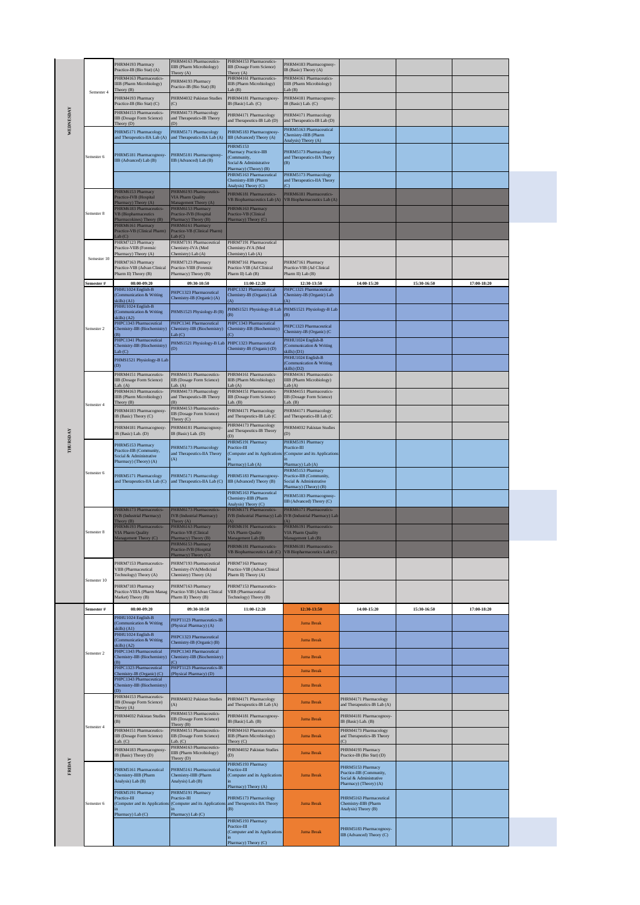|           |                          | PHRM4193 Pharmacy<br>Practice-IB (Bio Stat) (A)                               | PHRM4163 Pharmaceutics-<br><b>IIIB</b> (Pharm Microbiology)<br>Theory $(A)$         | PHRM4153 Pharmaceutics-<br><b>IIB</b> (Dosage Form Science)<br>Theory(A)                             | PHRM4183 Pharmacognosy-<br>IB (Basic) Theory (A)                                                   |                                                                            |             |             |
|-----------|--------------------------|-------------------------------------------------------------------------------|-------------------------------------------------------------------------------------|------------------------------------------------------------------------------------------------------|----------------------------------------------------------------------------------------------------|----------------------------------------------------------------------------|-------------|-------------|
|           | Semester 4<br>Semester 6 | HRM4163 Pharmaceutics-<br><b>IIIB</b> (Pharm Microbiology)                    | PHRM4193 Pharmacy                                                                   | PHRM4161 Pharmaceutics-<br><b>IIIB</b> (Pharm Microbiology)                                          | PHRM4161 Pharmaceutics-<br>IIIB (Pharm Microbiology)                                               |                                                                            |             |             |
|           |                          | Theory (B)<br>PHRM4193 Pharmacy                                               | Practice-IB (Bio Stat) (B)<br>PHRM4032 Pakistan Studies                             | ab(B)<br>PHRM4181 Pharmacognosy-                                                                     | Lab(B)<br>PHRM4181 Pharmacognosy-                                                                  |                                                                            |             |             |
|           |                          | Practice-IB (Bio Stat) (C)<br>PHRM4153 Pharmaceutics-                         | (C)<br>PHRM4173 Pharmacology                                                        | IB (Basic) Lab. (C)                                                                                  | IB (Basic) Lab. (C)                                                                                |                                                                            |             |             |
| WEDNESDAY |                          | IB (Dosage Form Science)<br>Theory (D)                                        | and Therapeutics-IB Theory                                                          | PHRM4171 Pharmacology<br>and Therapeutics-IB Lab (D)                                                 | PHRM4171 Pharmacology<br>and Therapeutics-IB Lab (D)                                               |                                                                            |             |             |
|           |                          | PHRM5171 Pharmacology<br>and Therapeutics-IIA Lab (A)                         | PHRM5171 Pharmacology<br>and Therapeutics-IIA Lab (A)                               | PHRM5183 Pharmacognosy-<br>IIB (Advanced) Theory (A)                                                 | PHRM5163 Pharmaceutical<br>Chemistry-IIIB (Pharm<br>Analysis) Theory (A)                           |                                                                            |             |             |
|           |                          | PHRM5181 Pharmacognosy-<br>IIB (Advanced) Lab (B)                             | PHRM5181 Pharmacognosy-<br>IIB (Advanced) Lab (B)                                   | PHRM5153<br>Pharmacy Practice-IIB<br>(Community,<br>Social & Administrative<br>harmacy) (Theory) (B) | PHRM5173 Pharmacology<br>and Therapeutics-IIA Theory<br>(B)                                        |                                                                            |             |             |
|           |                          |                                                                               |                                                                                     | PHRM5163 Pharmaceutical<br>Chemistry-IIIB (Pharm<br>Analysis) Theory (C)                             | PHRM5173 Pharmacology<br>and Therapeutics-IIA Theory<br>$\mathcal{C}$                              |                                                                            |             |             |
|           |                          | HRM6153 Pharmacy<br>Practice-IVB (Hospital                                    | PHRM6193 Pharmaceutics-<br><b>VIA Pharm Quality</b>                                 | PHRM6181 Pharmaceutics-<br>VB Biopharmaceutics Lab (A)                                               | PHRM6181 Pharmaceutics-<br>VB Biopharmaceutics Lab (A)                                             |                                                                            |             |             |
|           | Semester 8               | harmacy) Theory (A)<br><b>HRM6183 Pharmaceutics-</b><br>/B (Biopharmaceutics  | Management Theory (A)<br>PHRM6153 Pharmacy<br>Practice-IVB (Hospital                | PHRM6163 Pharmacy<br>Practice-VB (Clinical                                                           |                                                                                                    |                                                                            |             |             |
|           |                          | armacokines) Theory (B)<br>HRM6161 Pharmacy<br>Practice-VB (Clinical Pharm)   | Pharmacy) Theory (B)<br>PHRM6161 Pharmacy<br>Practice-VB (Clinical Pharm)           | harmacy) Theory (C)                                                                                  |                                                                                                    |                                                                            |             |             |
|           |                          | ab(C)<br>PHRM7123 Pharmacy<br>Practice-VIIB (Forensic<br>Pharmacy) Theory (A) | ab(C)<br>PHRM7191 Pharmaceutical<br>Chemistry-IVA (Med<br>Chemistry) Lab (A)        | PHRM7191 Pharmaceutical<br>Chemistry-IVA (Med<br>Chemistry) Lab (A)                                  |                                                                                                    |                                                                            |             |             |
|           | Semester 10              | HRM7163 Pharmacy<br>Practice-VIB (Advan Clinical                              | PHRM7123 Pharmacy<br>Practice-VIIB (Forensic                                        | PHRM7161 Pharmacy<br>Practice-VIB (Ad Clinical                                                       | PHRM7161 Pharmacy<br>Practice-VIB (Ad Clinical                                                     |                                                                            |             |             |
|           |                          | Pharm II) Theory (B)                                                          | Pharmacy) Theory (B)                                                                | Pharm II) Lab (B)                                                                                    | Pharm II) Lab (B)                                                                                  |                                                                            |             |             |
|           | Semester #               | 08:00-09:20<br>PHHU1024 English-B<br>Communication & Writing                  | 09:30-10:50<br>PHPC1323 Pharmaceutical                                              | 11:00-12:20<br>PHPC1321 Pharmaceutical<br>Chemistry-IB (Organic) Lab                                 | 12:30-13:50<br>PHPC1321 Pharmaceutical<br>Chemistry-IB (Organic) Lab                               | 14:00-15:20                                                                | 15:30-16:50 | 17:00-18:20 |
|           |                          | kills) (A1)<br>PHHU1024 English-B                                             | Chemistry-IB (Organic) (A)                                                          | PHMS1521 Physiology-B Lab                                                                            | PHMS1521 Physiology-B Lab                                                                          |                                                                            |             |             |
|           |                          | Communication & Writing<br>kills) (A2)<br><b>HPC1343 Pharmaceutical</b>       | PHMS1523 Physiology-B (B)<br>PHPC1341 Pharmaceutical                                | (B)<br>PHPC1343 Pharmaceutical                                                                       | (B)                                                                                                |                                                                            |             |             |
|           | Semester 2               | Chemistry-IIB (Biochemistry)                                                  | Chemistry-IIB (Biochemistry)<br>Lab(C)                                              | Chemistry-IIB (Biochemistry)<br>C)                                                                   | PHPC1323 Pharmaceutical<br>Chemistry-IB (Organic) (C                                               |                                                                            |             |             |
|           |                          | HPC1341 Pharmaceutical<br>Chemistry-IIB (Biochemistry)<br>ab(C)               | PHMS1521 Physiology-B Lab<br>(D)                                                    | PHPC1323 Pharmaceutical<br>Chemistry-IB (Organic) (D)                                                | PHHU1024 English-B<br>(Communication & Writing<br>skills) (D1)                                     |                                                                            |             |             |
|           |                          | PHMS1521 Physiology-B Lab<br>D)                                               |                                                                                     |                                                                                                      | PHHU1024 English-B<br>(Communication & Writing                                                     |                                                                            |             |             |
|           |                          | PHRM4151 Pharmaceutics-                                                       | PHRM4151 Pharmaceutics-                                                             | PHRM4161 Pharmaceutics-                                                                              | skills) (D2)<br>PHRM4161 Pharmaceutics-                                                            |                                                                            |             |             |
|           | Semester 4               | IIB (Dosage Form Science)<br>Lab. $(A)$<br>PHRM4163 Pharmaceutics-            | <b>IIB</b> (Dosage Form Science)<br>Lab. $(A)$<br>PHRM4173 Pharmacology             | <b>IIIB</b> (Pharm Microbiology)<br>ab(A)<br>PHRM4151 Pharmaceutics-                                 | IIIB (Pharm Microbiology)<br>Lab(A)<br>PHRM4151 Pharmaceutics-                                     |                                                                            |             |             |
|           |                          | <b>IIIB</b> (Pharm Microbiology)<br>Theory (B)                                | and Therapeutics-IB Theory                                                          | IIB (Dosage Form Science)<br>$ab.$ (B)                                                               | <b>IIB</b> (Dosage Form Science)<br>Lab. $(B)$                                                     |                                                                            |             |             |
|           |                          | HRM4183 Pharmacognosy-<br>IB (Basic) Theory (C)                               | PHRM4153 Pharmaceutics-<br><b>IIB</b> (Dosage Form Science)<br>Theory (C)           | PHRM4171 Pharmacology<br>and Therapeutics-IB Lab (C                                                  | PHRM4171 Pharmacology<br>and Therapeutics-IB Lab (C                                                |                                                                            |             |             |
|           |                          | PHRM4181 Pharmacognosy<br>IB (Basic) Lab. (D)                                 | PHRM4181 Pharmacognosy-<br>IB (Basic) Lab. (D)                                      | PHRM4173 Pharmacology<br>and Therapeutics-IB Theory                                                  | PHRM4032 Pakistan Studies<br>(D)                                                                   |                                                                            |             |             |
|           |                          | PHRM5153 Pharmacy                                                             | PHRM5173 Pharmacology                                                               | D)<br>PHRM5191 Pharmacy<br>Practice-III                                                              | PHRM5191 Pharmacy<br>Practice-III                                                                  |                                                                            |             |             |
|           | Semester 6               | Practice-IIB (Community,<br>Social & Administrative<br>Pharmacy) (Theory) (A) | and Therapeutics-IIA Theory<br>(A)                                                  | (Computer and its Applications<br>harmacy) Lab (A)                                                   | (Computer and its Applications<br>Pharmacy) Lab (A)                                                |                                                                            |             |             |
|           |                          | PHRM5171 Pharmacology<br>and Therapeutics-IIA Lab (C)                         | PHRM5171 Pharmacology<br>and Therapeutics-IIA Lab (C)                               | PHRM5183 Pharmacognosy-<br>IIB (Advanced) Theory (B)                                                 | PHRM5153 Pharmacy<br>Practice-IIB (Community,<br>Social & Administrative<br>Pharmacy) (Theory) (B) |                                                                            |             |             |
|           |                          |                                                                               |                                                                                     | PHRM5163 Pharmaceutical<br>Chemistry-IIIB (Pharm<br>Analysis) Theory (C)                             | PHRM5183 Pharmacognosy-<br>IIB (Advanced) Theory (C)                                               |                                                                            |             |             |
|           |                          | HRM6173 Pharmaceutics-<br>VB (Industrial Pharmacy)<br>Theory (B)              | PHRM6173 Pharmaceutics-<br>IVB (Industrial Pharmacy)<br>Theory (A)                  | PHRM6171 Pharmaceutics-<br>IVB (Industrial Pharmacy) Lab<br>A)                                       | PHRM6171 Pharmaceutics-<br>IVB (Industrial Pharmacy) Lab                                           |                                                                            |             |             |
|           | Semester 8               | HRM6193 Pharmaceutics-<br><b>VIA Pharm Quality</b>                            | PHRM6163 Pharmacy<br>Practice-VB (Clinical                                          | PHRM6191 Pharmaceutics-<br><b>VIA Pharm Quality</b>                                                  | PHRM6191 Pharmaceutics-<br><b>VIA Pharm Quality</b>                                                |                                                                            |             |             |
|           |                          | Aanagement Theory (C)                                                         | Pharmacy) Theory (B)<br>PHRM6153 Pharmacy<br>Practice-IVB (Hospital                 | Aanagement Lab (B)<br>PHRM6181 Pharmaceutics-                                                        | Management Lab (B)<br>PHRM6181 Pharmaceutics-                                                      |                                                                            |             |             |
|           |                          | PHRM7153 Pharmaceutics-<br><b>VIIB</b> (Pharmaceutical                        | Pharmacy) Theory (C)<br>PHRM7193 Pharmaceutical<br>Chemistry-IVA(Medicinal          | /B Biopharmaceutics Lab (C)<br>PHRM7163 Pharmacy<br>Practice-VIB (Advan Clinical                     | VB Biopharmaceutics Lab (C)                                                                        |                                                                            |             |             |
|           | Semester 10              | Fechnology) Theory (A)<br>PHRM7183 Pharmacy<br>Practice-VIIIA (Pharm Manag    | Chemistry) Theory (A)<br>PHRM7163 Pharmacy<br>Practice-VIB (Advan Clinical          | Pharm II) Theory (A)<br>PHRM7153 Pharmaceutics-<br><b>VIIB</b> (Pharmaceutical                       |                                                                                                    |                                                                            |             |             |
|           | Semester #               | Market) Theory (B)<br>08:00-09:20                                             | Pharm II) Theory (B)<br>09:30-10:50                                                 | Fechnology) Theory (B)<br>11:00-12:20                                                                | 12:30-13:50                                                                                        | 14:00-15:20                                                                | 15:30-16:50 | 17:00-18:20 |
|           |                          | PHHU1024 English-B<br>Communication & Writing                                 | PHPT1123 Pharmaceutics-IB                                                           |                                                                                                      | <b>Juma Break</b>                                                                                  |                                                                            |             |             |
|           | Semester 2               | kills) (A1)<br>PHHU1024 English-B<br>Communication & Writing                  | (Physical Pharmacy) (A)<br>PHPC1323 Pharmaceutical                                  |                                                                                                      | <b>Juma Break</b>                                                                                  |                                                                            |             |             |
|           |                          | kills) $(A2)$<br>PHPC1343 Pharmaceutical                                      | Chemistry-IB (Organic) (B)<br>PHPC1343 Pharmaceutical                               |                                                                                                      |                                                                                                    |                                                                            |             |             |
|           |                          | Chemistry-IIB (Biochemistry)<br>PHPC1323 Pharmaceutical                       | Chemistry-IIB (Biochemistry)<br>C)<br>PHPT1123 Pharmaceutics-IB                     |                                                                                                      | <b>Juma Break</b>                                                                                  |                                                                            |             |             |
|           |                          | Chemistry-IB (Organic) (C)<br>PHPC1343 Pharmaceutical                         | (Physical Pharmacy) (D)                                                             |                                                                                                      | <b>Juma Break</b>                                                                                  |                                                                            |             |             |
|           |                          | Chemistry-IIB (Biochemistry)<br>D)<br>PHRM4153 Pharmaceutics-                 |                                                                                     |                                                                                                      | <b>Juma Break</b>                                                                                  |                                                                            |             |             |
|           | Semester 4               | IIB (Dosage Form Science)<br>Theory (A)                                       | PHRM4032 Pakistan Studies<br>(A)<br>PHRM4153 Pharmaceutics-                         | PHRM4171 Pharmacology<br>and Therapeutics-IB Lab (A)                                                 | <b>Juma Break</b>                                                                                  | PHRM4171 Pharmacology<br>and Therapeutics-IB Lab (A)                       |             |             |
|           |                          | PHRM4032 Pakistan Studies                                                     | IIB (Dosage Form Science)<br>Theory (B)                                             | PHRM4181 Pharmacognosy-<br>(B (Basic) Lab. (B)                                                       | <b>Juma Break</b>                                                                                  | PHRM4181 Pharmacognosy-<br>IB (Basic) Lab. (B)                             |             |             |
|           |                          | PHRM4151 Pharmaceutics-<br>IB (Dosage Form Science)<br>ab. (C)                | PHRM4151 Pharmaceutics-<br>IIB (Dosage Form Science)<br>Lab. $(C)$                  | PHRM4163 Pharmaceutics-<br><b>IIIB</b> (Pharm Microbiology)<br>Theory (C)                            | <b>Juma Break</b>                                                                                  | PHRM4173 Pharmacology<br>and Therapeutics-IB Theory<br>$\odot$             |             |             |
|           |                          | HRM4183 Pharmacognosy<br>B (Basic) Theory (D)                                 | PHRM4163 Pharmaceutics-<br><b>IIIB</b> (Pharm Microbiology)                         | PHRM4032 Pakistan Studies<br>(D)                                                                     | <b>Juma Break</b>                                                                                  | PHRM4193 Pharmacy<br>Practice-IB (Bio Stat) (D)                            |             |             |
|           |                          | PHRM5161 Pharmaceutical<br><b>Chemistry-IIIB</b> (Pharm<br>Analysis) Lab (B)  | Theory (D)<br>PHRM5161 Pharmaceutical<br>Chemistry-IIIB (Pharm<br>Analysis) Lab (B) | PHRM5193 Pharmacy<br>Practice-III<br>(Computer and its Applications                                  | <b>Juma Break</b>                                                                                  | PHRM5153 Pharmacy<br>Practice-IIB (Community,<br>Social & Administrative   |             |             |
|           | Semester 6               | PHRM5191 Pharmacy<br>Practice-III<br>Computer and its Application             | PHRM5191 Pharmacy<br>Practice-III<br>(Computer and its Application                  | Pharmacy) Theory (A)<br>PHRM5173 Pharmacology<br>and Therapeutics-IIA Theory                         | <b>Juma Break</b>                                                                                  | Pharmacy) (Theory) (A)<br>PHRM5163 Pharmaceutical<br>Chemistry-IIIB (Pharm |             |             |
|           |                          | Pharmacy) Lab (C)                                                             | Pharmacy) Lab (C)                                                                   | (B)<br>PHRM5193 Pharmacy<br>Practice-III<br>(Computer and its Applications                           | <b>Juma Break</b>                                                                                  | Analysis) Theory (B)<br>PHRM5183 Pharmacognosy-                            |             |             |
|           |                          |                                                                               |                                                                                     | Pharmacy) Theory (C)                                                                                 |                                                                                                    | IIB (Advanced) Theory (C)                                                  |             |             |